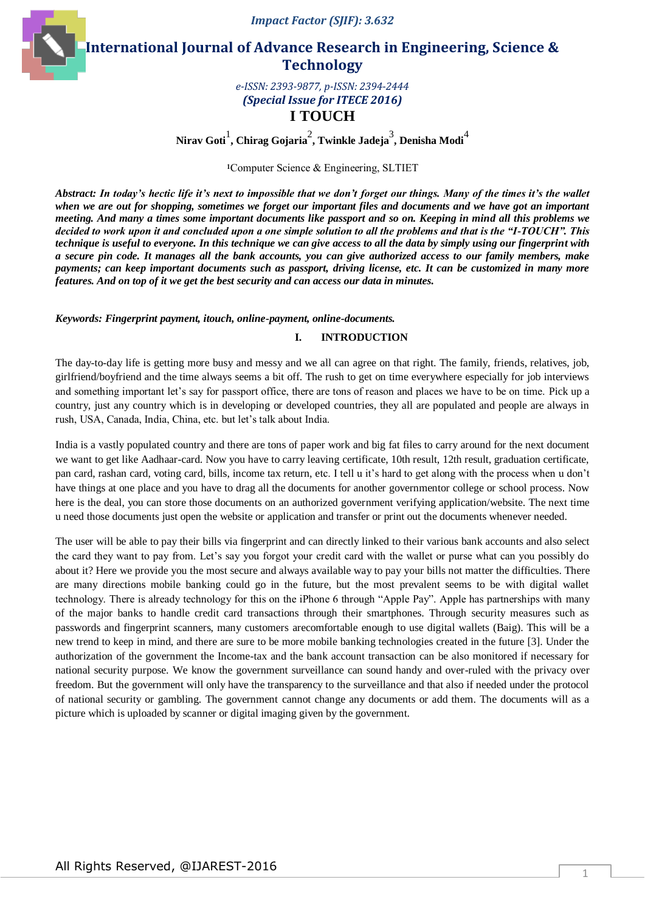*Impact Factor (SJIF): 3.632*

**International Journal of Advance Research in Engineering, Science & Technology** 

> *e-ISSN: 2393-9877, p-ISSN: 2394-2444 (Special Issue for ITECE 2016)* **I TOUCH**

**Nirav Goti**<sup>1</sup> **, Chirag Gojaria**<sup>2</sup> **, Twinkle Jadeja**<sup>3</sup> **, Denisha Modi**<sup>4</sup>

**<sup>1</sup>**Computer Science & Engineering, SLTIET

*Abstract: In today's hectic life it's next to impossible that we don't forget our things. Many of the times it's the wallet when we are out for shopping, sometimes we forget our important files and documents and we have got an important meeting. And many a times some important documents like passport and so on. Keeping in mind all this problems we decided to work upon it and concluded upon a one simple solution to all the problems and that is the "I-TOUCH". This technique is useful to everyone. In this technique we can give access to all the data by simply using our fingerprint with a secure pin code. It manages all the bank accounts, you can give authorized access to our family members, make payments; can keep important documents such as passport, driving license, etc. It can be customized in many more features. And on top of it we get the best security and can access our data in minutes.*

# *Keywords: Fingerprint payment, itouch, online-payment, online-documents.*

#### **I. INTRODUCTION**

The day-to-day life is getting more busy and messy and we all can agree on that right. The family, friends, relatives, job, girlfriend/boyfriend and the time always seems a bit off. The rush to get on time everywhere especially for job interviews and something important let"s say for passport office, there are tons of reason and places we have to be on time. Pick up a country, just any country which is in developing or developed countries, they all are populated and people are always in rush, USA, Canada, India, China, etc. but let"s talk about India.

India is a vastly populated country and there are tons of paper work and big fat files to carry around for the next document we want to get like Aadhaar-card. Now you have to carry leaving certificate, 10th result, 12th result, graduation certificate, pan card, rashan card, voting card, bills, income tax return, etc. I tell u it's hard to get along with the process when u don't have things at one place and you have to drag all the documents for another governmentor college or school process. Now here is the deal, you can store those documents on an authorized government verifying application/website. The next time u need those documents just open the website or application and transfer or print out the documents whenever needed.

The user will be able to pay their bills via fingerprint and can directly linked to their various bank accounts and also select the card they want to pay from. Let's say you forgot your credit card with the wallet or purse what can you possibly do about it? Here we provide you the most secure and always available way to pay your bills not matter the difficulties. There are many directions mobile banking could go in the future, but the most prevalent seems to be with digital wallet technology. There is already technology for this on the iPhone 6 through "Apple Pay". Apple has partnerships with many of the major banks to handle credit card transactions through their smartphones. Through security measures such as passwords and fingerprint scanners, many customers arecomfortable enough to use digital wallets (Baig). This will be a new trend to keep in mind, and there are sure to be more mobile banking technologies created in the future [3]. Under the authorization of the government the Income-tax and the bank account transaction can be also monitored if necessary for national security purpose. We know the government surveillance can sound handy and over-ruled with the privacy over freedom. But the government will only have the transparency to the surveillance and that also if needed under the protocol of national security or gambling. The government cannot change any documents or add them. The documents will as a picture which is uploaded by scanner or digital imaging given by the government.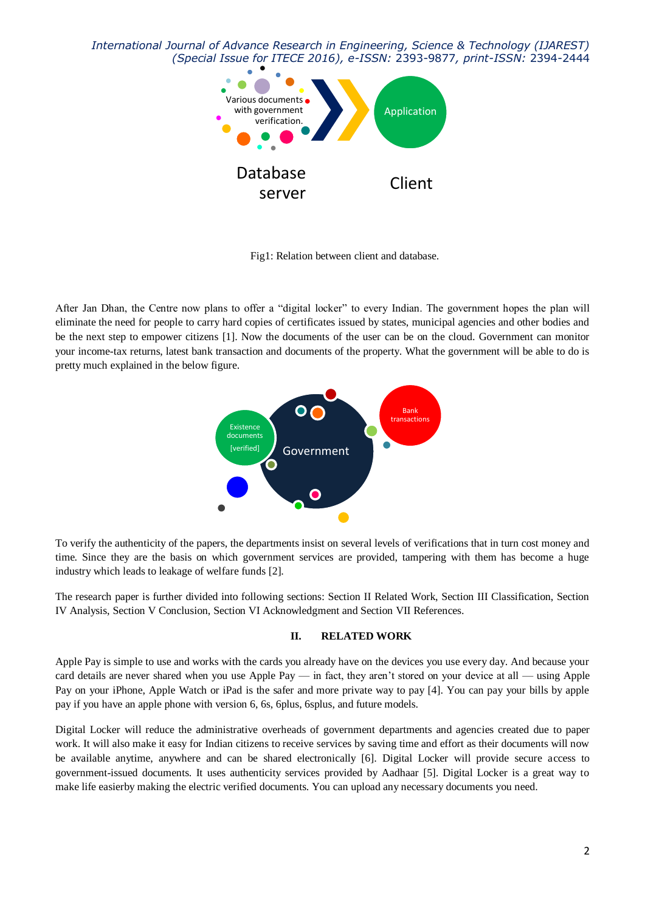*International Journal of Advance Research in Engineering, Science & Technology (IJAREST) (Special Issue for ITECE 2016), e-ISSN:* 2393-9877*, print-ISSN:* 2394-2444



Fig1: Relation between client and database.

After Jan Dhan, the Centre now plans to offer a "digital locker" to every Indian. The government hopes the plan will eliminate the need for people to carry hard copies of certificates issued by states, municipal agencies and other bodies and be the next step to empower citizens [1]. Now the documents of the user can be on the cloud. Government can monitor your income-tax returns, latest bank transaction and documents of the property. What the government will be able to do is pretty much explained in the below figure.



To verify the authenticity of the papers, the departments insist on several levels of verifications that in turn cost money and time. Since they are the basis on which government services are provided, tampering with them has become a huge industry which leads to leakage of welfare funds [2].

The research paper is further divided into following sections: Section II Related Work, Section III Classification, Section IV Analysis, Section V Conclusion, Section VI Acknowledgment and Section VII References.

# **II. RELATED WORK**

Apple Pay is simple to use and works with the cards you already have on the devices you use every day. And because your card details are never shared when you use Apple Pay — in fact, they aren"t stored on your device at all — using Apple Pay on your iPhone, Apple Watch or iPad is the safer and more private way to pay [4]. You can pay your bills by apple pay if you have an apple phone with version 6, 6s, 6plus, 6splus, and future models.

Digital Locker will reduce the administrative overheads of government departments and agencies created due to paper work. It will also make it easy for Indian citizens to receive services by saving time and effort as their documents will now be available anytime, anywhere and can be shared electronically [6]. Digital Locker will provide secure access to government-issued documents. It uses authenticity services provided by Aadhaar [5]. Digital Locker is a great way to make life easierby making the electric verified documents. You can upload any necessary documents you need.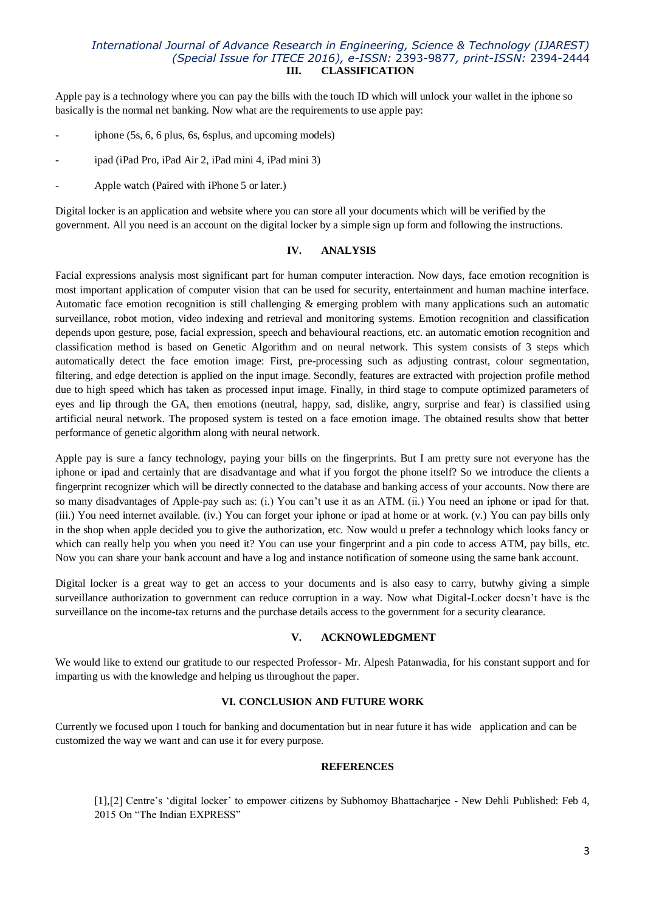# *International Journal of Advance Research in Engineering, Science & Technology (IJAREST) (Special Issue for ITECE 2016), e-ISSN:* 2393-9877*, print-ISSN:* 2394-2444 **III. CLASSIFICATION**

Apple pay is a technology where you can pay the bills with the touch ID which will unlock your wallet in the iphone so basically is the normal net banking. Now what are the requirements to use apple pay:

- iphone (5s, 6, 6 plus, 6s, 6 splus, and upcoming models)
- ipad (iPad Pro, iPad Air 2, iPad mini 4, iPad mini 3)
- Apple watch (Paired with iPhone 5 or later.)

Digital locker is an application and website where you can store all your documents which will be verified by the government. All you need is an account on the digital locker by a simple sign up form and following the instructions.

### **IV. ANALYSIS**

Facial expressions analysis most significant part for human computer interaction. Now days, face emotion recognition is most important application of computer vision that can be used for security, entertainment and human machine interface. Automatic face emotion recognition is still challenging & emerging problem with many applications such an automatic surveillance, robot motion, video indexing and retrieval and monitoring systems. Emotion recognition and classification depends upon gesture, pose, facial expression, speech and behavioural reactions, etc. an automatic emotion recognition and classification method is based on Genetic Algorithm and on neural network. This system consists of 3 steps which automatically detect the face emotion image: First, pre-processing such as adjusting contrast, colour segmentation, filtering, and edge detection is applied on the input image. Secondly, features are extracted with projection profile method due to high speed which has taken as processed input image. Finally, in third stage to compute optimized parameters of eyes and lip through the GA, then emotions (neutral, happy, sad, dislike, angry, surprise and fear) is classified using artificial neural network. The proposed system is tested on a face emotion image. The obtained results show that better performance of genetic algorithm along with neural network.

Apple pay is sure a fancy technology, paying your bills on the fingerprints. But I am pretty sure not everyone has the iphone or ipad and certainly that are disadvantage and what if you forgot the phone itself? So we introduce the clients a fingerprint recognizer which will be directly connected to the database and banking access of your accounts. Now there are so many disadvantages of Apple-pay such as: (i.) You can't use it as an ATM. (ii.) You need an iphone or ipad for that. (iii.) You need internet available. (iv.) You can forget your iphone or ipad at home or at work. (v.) You can pay bills only in the shop when apple decided you to give the authorization, etc. Now would u prefer a technology which looks fancy or which can really help you when you need it? You can use your fingerprint and a pin code to access ATM, pay bills, etc. Now you can share your bank account and have a log and instance notification of someone using the same bank account.

Digital locker is a great way to get an access to your documents and is also easy to carry, butwhy giving a simple surveillance authorization to government can reduce corruption in a way. Now what Digital-Locker doesn't have is the surveillance on the income-tax returns and the purchase details access to the government for a security clearance.

#### **V. ACKNOWLEDGMENT**

We would like to extend our gratitude to our respected Professor- Mr. Alpesh Patanwadia, for his constant support and for imparting us with the knowledge and helping us throughout the paper.

#### **VI. CONCLUSION AND FUTURE WORK**

Currently we focused upon I touch for banking and documentation but in near future it has wide application and can be customized the way we want and can use it for every purpose.

#### **REFERENCES**

[1], [2] Centre's 'digital locker' to empower citizens by Subhomoy Bhattacharjee - New Dehli Published: Feb 4, 2015 On "The Indian EXPRESS"